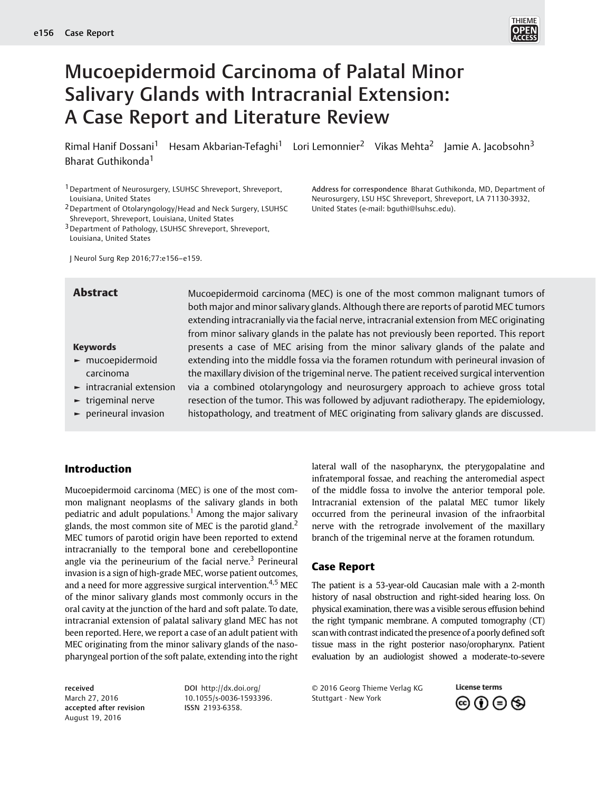

# Mucoepidermoid Carcinoma of Palatal Minor Salivary Glands with Intracranial Extension: A Case Report and Literature Review

Rimal Hanif Dossani<sup>1</sup> Hesam Akbarian-Tefaghi<sup>1</sup> Lori Lemonnier<sup>2</sup> Vikas Mehta<sup>2</sup> Jamie A. Jacobsohn<sup>3</sup> Bharat Guthikonda<sup>1</sup>

1Department of Neurosurgery, LSUHSC Shreveport, Shreveport, Louisiana, United States

2Department of Otolaryngology/Head and Neck Surgery, LSUHSC Shreveport, Shreveport, Louisiana, United States

3Department of Pathology, LSUHSC Shreveport, Shreveport, Louisiana, United States

J Neurol Surg Rep 2016;77:e156–e159.

Address for correspondence Bharat Guthikonda, MD, Department of Neurosurgery, LSU HSC Shreveport, Shreveport, LA 71130-3932, United States (e-mail: [bguthi@lsuhsc.edu\)](mailto:bguthi@lsuhsc.edu).

#### Keywords

- ► mucoepidermoid carcinoma
- ► intracranial extension
- ► trigeminal nerve
- ► perineural invasion

**Abstract** Mucoepidermoid carcinoma (MEC) is one of the most common malignant tumors of both major and minor salivary glands. Although there are reports of parotid MEC tumors extending intracranially via the facial nerve, intracranial extension from MEC originating from minor salivary glands in the palate has not previously been reported. This report presents a case of MEC arising from the minor salivary glands of the palate and extending into the middle fossa via the foramen rotundum with perineural invasion of the maxillary division of the trigeminal nerve. The patient received surgical intervention via a combined otolaryngology and neurosurgery approach to achieve gross total resection of the tumor. This was followed by adjuvant radiotherapy. The epidemiology, histopathology, and treatment of MEC originating from salivary glands are discussed.

# Introduction

Mucoepidermoid carcinoma (MEC) is one of the most common malignant neoplasms of the salivary glands in both pediatric and adult populations.<sup>1</sup> Among the major salivary glands, the most common site of MEC is the parotid gland.<sup>2</sup> MEC tumors of parotid origin have been reported to extend intracranially to the temporal bone and cerebellopontine angle via the perineurium of the facial nerve.<sup>3</sup> Perineural invasion is a sign of high-grade MEC, worse patient outcomes, and a need for more aggressive surgical intervention.<sup>4,5</sup> MEC of the minor salivary glands most commonly occurs in the oral cavity at the junction of the hard and soft palate. To date, intracranial extension of palatal salivary gland MEC has not been reported. Here, we report a case of an adult patient with MEC originating from the minor salivary glands of the nasopharyngeal portion of the soft palate, extending into the right

lateral wall of the nasopharynx, the pterygopalatine and infratemporal fossae, and reaching the anteromedial aspect of the middle fossa to involve the anterior temporal pole. Intracranial extension of the palatal MEC tumor likely occurred from the perineural invasion of the infraorbital nerve with the retrograde involvement of the maxillary branch of the trigeminal nerve at the foramen rotundum.

## Case Report

The patient is a 53-year-old Caucasian male with a 2-month history of nasal obstruction and right-sided hearing loss. On physical examination, there was a visible serous effusion behind the right tympanic membrane. A computed tomography (CT) scanwith contrast indicated the presence of a poorly defined soft tissue mass in the right posterior naso/oropharynx. Patient evaluation by an audiologist showed a moderate-to-severe

received March 27, 2016 accepted after revision August 19, 2016

DOI [http://dx.doi.org/](http://dx.doi.org/10.1055/s-0036-1593396) [10.1055/s-0036-1593396.](http://dx.doi.org/10.1055/s-0036-1593396) ISSN 2193-6358.

© 2016 Georg Thieme Verlag KG Stuttgart · New York

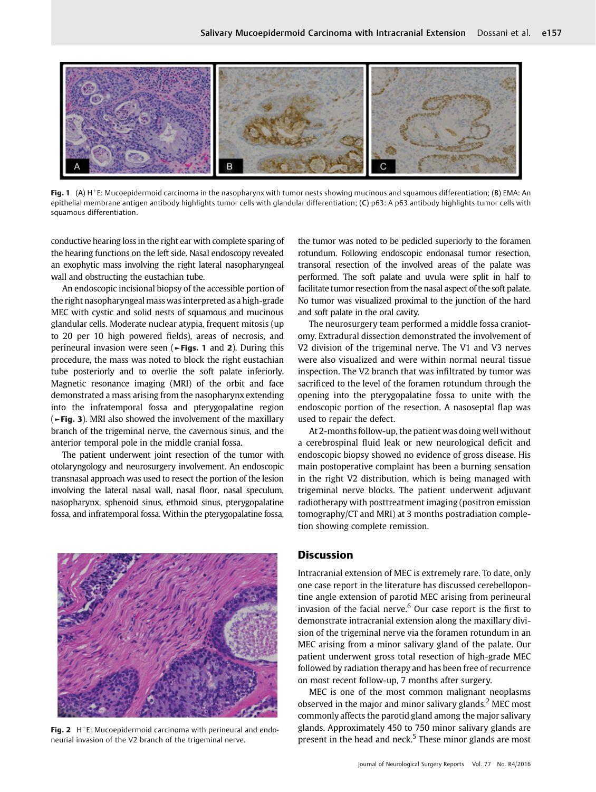

**Fig. 1** (A)  $H^+E$ : Mucoepidermoid carcinoma in the nasopharynx with tumor nests showing mucinous and squamous differentiation; (B) EMA: An epithelial membrane antigen antibody highlights tumor cells with glandular differentiation; (C) p63: A p63 antibody highlights tumor cells with squamous differentiation.

conductive hearing loss in the right ear with complete sparing of the hearing functions on the left side. Nasal endoscopy revealed an exophytic mass involving the right lateral nasopharyngeal wall and obstructing the eustachian tube.

An endoscopic incisional biopsy of the accessible portion of the right nasopharyngeal mass was interpreted as a high-grade MEC with cystic and solid nests of squamous and mucinous glandular cells. Moderate nuclear atypia, frequent mitosis (up to 20 per 10 high powered fields), areas of necrosis, and perineural invasion were seen (►Figs. 1 and 2). During this procedure, the mass was noted to block the right eustachian tube posteriorly and to overlie the soft palate inferiorly. Magnetic resonance imaging (MRI) of the orbit and face demonstrated a mass arising from the nasopharynx extending into the infratemporal fossa and pterygopalatine region (►Fig. 3). MRI also showed the involvement of the maxillary branch of the trigeminal nerve, the cavernous sinus, and the anterior temporal pole in the middle cranial fossa.

The patient underwent joint resection of the tumor with otolaryngology and neurosurgery involvement. An endoscopic transnasal approach was used to resect the portion of the lesion involving the lateral nasal wall, nasal floor, nasal speculum, nasopharynx, sphenoid sinus, ethmoid sinus, pterygopalatine fossa, and infratemporal fossa. Within the pterygopalatine fossa,

Fig. 2  $H^+E$ : Mucoepidermoid carcinoma with perineural and endoneurial invasion of the V2 branch of the trigeminal nerve.

the tumor was noted to be pedicled superiorly to the foramen rotundum. Following endoscopic endonasal tumor resection, transoral resection of the involved areas of the palate was performed. The soft palate and uvula were split in half to facilitate tumor resection from the nasal aspect of the soft palate. No tumor was visualized proximal to the junction of the hard and soft palate in the oral cavity.

The neurosurgery team performed a middle fossa craniotomy. Extradural dissection demonstrated the involvement of V2 division of the trigeminal nerve. The V1 and V3 nerves were also visualized and were within normal neural tissue inspection. The V2 branch that was infiltrated by tumor was sacrificed to the level of the foramen rotundum through the opening into the pterygopalatine fossa to unite with the endoscopic portion of the resection. A nasoseptal flap was used to repair the defect.

At 2-months follow-up, the patient was doing well without a cerebrospinal fluid leak or new neurological deficit and endoscopic biopsy showed no evidence of gross disease. His main postoperative complaint has been a burning sensation in the right V2 distribution, which is being managed with trigeminal nerve blocks. The patient underwent adjuvant radiotherapy with posttreatment imaging (positron emission tomography/CT and MRI) at 3 months postradiation completion showing complete remission.

#### Discussion

Intracranial extension of MEC is extremely rare. To date, only one case report in the literature has discussed cerebellopontine angle extension of parotid MEC arising from perineural invasion of the facial nerve. $6$  Our case report is the first to demonstrate intracranial extension along the maxillary division of the trigeminal nerve via the foramen rotundum in an MEC arising from a minor salivary gland of the palate. Our patient underwent gross total resection of high-grade MEC followed by radiation therapy and has been free of recurrence on most recent follow-up, 7 months after surgery.

MEC is one of the most common malignant neoplasms observed in the major and minor salivary glands.<sup>2</sup> MEC most commonly affects the parotid gland among the major salivary glands. Approximately 450 to 750 minor salivary glands are present in the head and neck.<sup>5</sup> These minor glands are most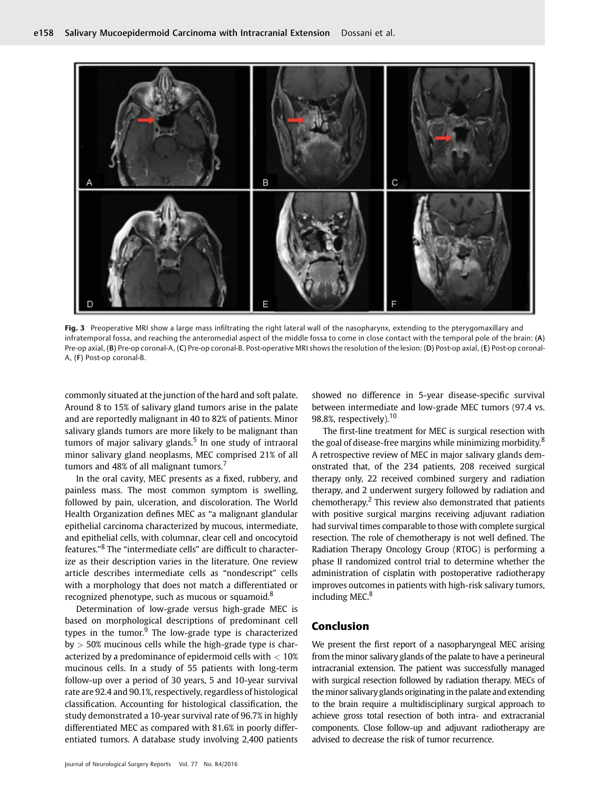

Fig. 3 Preoperative MRI show a large mass infiltrating the right lateral wall of the nasopharynx, extending to the pterygomaxillary and infratemporal fossa, and reaching the anteromedial aspect of the middle fossa to come in close contact with the temporal pole of the brain: (A) Pre-op axial, (B) Pre-op coronal-A, (C) Pre-op coronal-B. Post-operative MRI shows the resolution of the lesion: (D) Post-op axial, (E) Post-op coronal-A, (F) Post-op coronal-B.

commonly situated at the junction of the hard and soft palate. Around 8 to 15% of salivary gland tumors arise in the palate and are reportedly malignant in 40 to 82% of patients. Minor salivary glands tumors are more likely to be malignant than tumors of major salivary glands. $5$  In one study of intraoral minor salivary gland neoplasms, MEC comprised 21% of all tumors and 48% of all malignant tumors.<sup>7</sup>

In the oral cavity, MEC presents as a fixed, rubbery, and painless mass. The most common symptom is swelling, followed by pain, ulceration, and discoloration. The World Health Organization defines MEC as "a malignant glandular epithelial carcinoma characterized by mucous, intermediate, and epithelial cells, with columnar, clear cell and oncocytoid features." <sup>8</sup> The "intermediate cells" are difficult to characterize as their description varies in the literature. One review article describes intermediate cells as "nondescript" cells with a morphology that does not match a differentiated or recognized phenotype, such as mucous or squamoid.<sup>8</sup>

Determination of low-grade versus high-grade MEC is based on morphological descriptions of predominant cell types in the tumor. $9$  The low-grade type is characterized  $by > 50\%$  mucinous cells while the high-grade type is characterized by a predominance of epidermoid cells with  $< 10\%$ mucinous cells. In a study of 55 patients with long-term follow-up over a period of 30 years, 5 and 10-year survival rate are 92.4 and 90.1%, respectively, regardless of histological classification. Accounting for histological classification, the study demonstrated a 10-year survival rate of 96.7% in highly differentiated MEC as compared with 81.6% in poorly differentiated tumors. A database study involving 2,400 patients

Journal of Neurological Surgery Reports Vol. 77 No. R4/2016

showed no difference in 5-year disease-specific survival between intermediate and low-grade MEC tumors (97.4 vs. 98.8%, respectively).<sup>10</sup>

The first-line treatment for MEC is surgical resection with the goal of disease-free margins while minimizing morbidity.<sup>8</sup> A retrospective review of MEC in major salivary glands demonstrated that, of the 234 patients, 208 received surgical therapy only, 22 received combined surgery and radiation therapy, and 2 underwent surgery followed by radiation and chemotherapy.<sup>2</sup> This review also demonstrated that patients with positive surgical margins receiving adjuvant radiation had survival times comparable to those with complete surgical resection. The role of chemotherapy is not well defined. The Radiation Therapy Oncology Group (RTOG) is performing a phase II randomized control trial to determine whether the administration of cisplatin with postoperative radiotherapy improves outcomes in patients with high-risk salivary tumors, including MEC.<sup>8</sup>

## Conclusion

We present the first report of a nasopharyngeal MEC arising from the minor salivary glands of the palate to have a perineural intracranial extension. The patient was successfully managed with surgical resection followed by radiation therapy. MECs of the minor salivary glands originating in the palate and extending to the brain require a multidisciplinary surgical approach to achieve gross total resection of both intra- and extracranial components. Close follow-up and adjuvant radiotherapy are advised to decrease the risk of tumor recurrence.